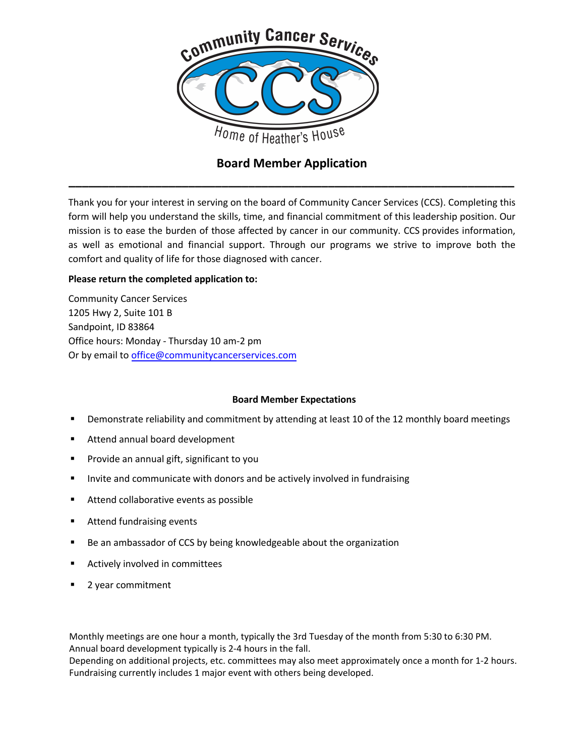

# **Board Member Application \_\_\_\_\_\_\_\_\_\_\_\_\_\_\_\_\_\_\_\_\_\_\_\_\_\_\_\_\_\_\_\_\_\_\_\_\_\_\_\_\_\_\_\_\_\_\_\_\_\_\_\_\_\_\_\_\_\_\_\_\_\_\_\_\_\_\_**

Thank you for your interest in serving on the board of Community Cancer Services (CCS). Completing this form will help you understand the skills, time, and financial commitment of this leadership position. Our mission is to ease the burden of those affected by cancer in our community. CCS provides information, as well as emotional and financial support. Through our programs we strive to improve both the comfort and quality of life for those diagnosed with cancer.

# **Please return the completed application to:**

Community Cancer Services 1205 Hwy 2, Suite 101 B Sandpoint, ID 83864 Office hours: Monday - Thursday 10 am-2 pm Or by email to office@communitycancerservices.com

## **[Board Member](mailto:office@communitycancerservices.com) Expectations**

- **•** Demonstrate reliability and commitment by attending at least 10 of the 12 monthly board meetings
- Attend annual board development
- Provide an annual gift, significant to you
- Invite and communicate with donors and be actively involved in fundraising
- **Attend collaborative events as possible**
- **Attend fundraising events**
- Be an ambassador of CCS by being knowledgeable about the organization
- **EXECUTE:** Actively involved in committees
- 2 year commitment

Monthly meetings are one hour a month, typically the 3rd Tuesday of the month from 5:30 to 6:30 PM. Annual board development typically is 2-4 hours in the fall.

Depending on additional projects, etc. committees may also meet approximately once a month for 1-2 hours. Fundraising currently includes 1 major event with others being developed.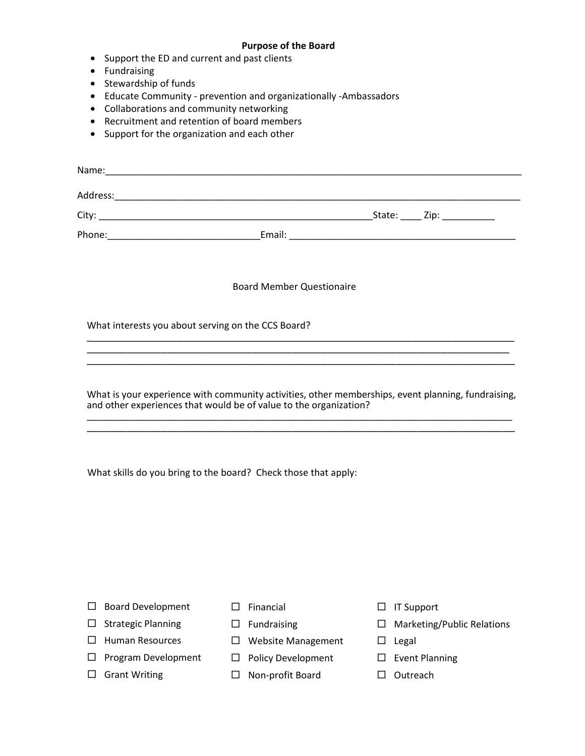### **Purpose of the Board**

- Support the ED and current and past clients
- Fundraising
- Stewardship of funds
- Educate Community prevention and organizationally -Ambassadors
- Collaborations and community networking
- Recruitment and retention of board members
- Support for the organization and each other

| Name:    |        |             |
|----------|--------|-------------|
| Address: |        |             |
| City:    |        | State: Zip: |
| Phone:   | Email: |             |

### Board Member Questionaire

What interests you about serving on the CCS Board?

What is your experience with community activities, other memberships, event planning, fundraising, and other experiences that would be of value to the organization? \_\_\_\_\_\_\_\_\_\_\_\_\_\_\_\_\_\_\_\_\_\_\_\_\_\_\_\_\_\_\_\_\_\_\_\_\_\_\_\_\_\_\_\_\_\_\_\_\_\_\_\_\_\_\_\_\_\_\_\_\_\_\_\_\_\_\_\_\_\_\_\_\_\_\_\_\_\_\_\_\_

\_\_\_\_\_\_\_\_\_\_\_\_\_\_\_\_\_\_\_\_\_\_\_\_\_\_\_\_\_\_\_\_\_\_\_\_\_\_\_\_\_\_\_\_\_\_\_\_\_\_\_\_\_\_\_\_\_\_\_\_\_\_\_\_\_\_\_\_\_\_\_\_\_\_\_

\_\_\_\_\_\_\_\_\_\_\_\_\_\_\_\_\_\_\_\_\_\_\_\_\_\_\_\_\_\_\_\_\_\_\_\_\_\_\_\_\_\_\_\_\_\_\_\_\_\_\_\_\_\_\_\_\_\_\_\_\_\_\_\_\_\_\_\_\_\_\_\_\_\_\_

\_\_\_\_\_\_\_\_\_\_\_\_\_\_\_\_\_\_\_\_\_\_\_\_\_\_\_\_\_\_\_\_\_\_\_\_\_\_\_\_\_\_\_\_\_\_\_\_\_\_\_\_\_\_\_\_\_\_\_\_\_\_\_\_\_\_\_\_\_\_\_\_\_\_\_

What skills do you bring to the board? Check those that apply:

- $\square$  Board Development
- $\square$  Strategic Planning
- $\Box$  Human Resources
- $\square$  Program Development
- □ Grant Writing
- $\square$  Financial
- $\square$  Fundraising
- □ Website Management
- $\square$  Policy Development
	- □ Non-profit Board
- $\Box$  IT Support
- □ Marketing/Public Relations
- $\square$  Legal
- $\square$  Event Planning
- $\square$  Outreach